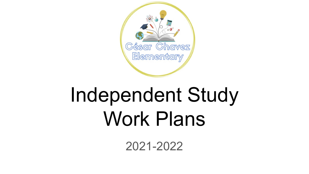

# Independent Study Work Plans

2021-2022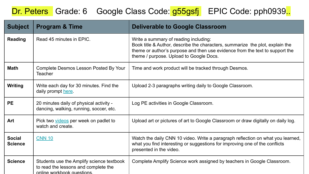#### Dr. Peters Grade: 6 Google Class Code: g55gsfj EPIC Code: pph0939.

| <b>Subject</b>                  | <b>Program &amp; Time</b>                                                                                      | <b>Deliverable to Google Classroom</b>                                                                                                                                                                                                            |
|---------------------------------|----------------------------------------------------------------------------------------------------------------|---------------------------------------------------------------------------------------------------------------------------------------------------------------------------------------------------------------------------------------------------|
| <b>Reading</b>                  | Read 45 minutes in EPIC.                                                                                       | Write a summary of reading including:<br>Book title & Author, describe the characters, summarize the plot, explain the<br>theme or author's purpose and then use evidence from the text to support the<br>theme / purpose. Upload to Google Docs. |
| <b>Math</b>                     | Complete Desmos Lesson Posted By Your<br>Teacher                                                               | Time and work product will be tracked through Desmos.                                                                                                                                                                                             |
| <b>Writing</b>                  | Write each day for 30 minutes. Find the<br>daily prompt here                                                   | Upload 2-3 paragraphs writing daily to Google Classroom.                                                                                                                                                                                          |
| <b>PE</b>                       | 20 minutes daily of physical activity -<br>dancing, walking, running, soccer, etc.                             | Log PE activities in Google Classroom.                                                                                                                                                                                                            |
| Art                             | Pick two videos per week on padlet to<br>watch and create.                                                     | Upload art or pictures of art to Google Classroom or draw digitally on daily log.                                                                                                                                                                 |
| <b>Social</b><br><b>Science</b> | <b>CNN 10</b>                                                                                                  | Watch the daily CNN 10 video. Write a paragraph reflection on what you learned,<br>what you find interesting or suggestions for improving one of the conflicts<br>presented in the video.                                                         |
| <b>Science</b>                  | Students use the Amplify science textbook<br>to read the lessons and complete the<br>online workbook questions | Complete Amplify Science work assigned by teachers in Google Classroom.                                                                                                                                                                           |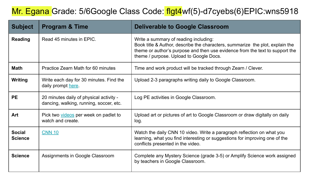#### Mr. Egana Grade: 5/6Google Class Code: flgt4wf(5)-d7cyebs(6)EPIC:wns5918

| <b>Subject</b>                  | <b>Program &amp; Time</b>                                                          | <b>Deliverable to Google Classroom</b>                                                                                                                                                                                                            |
|---------------------------------|------------------------------------------------------------------------------------|---------------------------------------------------------------------------------------------------------------------------------------------------------------------------------------------------------------------------------------------------|
| <b>Reading</b>                  | Read 45 minutes in EPIC.                                                           | Write a summary of reading including:<br>Book title & Author, describe the characters, summarize the plot, explain the<br>theme or author's purpose and then use evidence from the text to support the<br>theme / purpose. Upload to Google Docs. |
| <b>Math</b>                     | Practice Zearn Math for 60 minutes                                                 | Time and work product will be tracked through Zearn / Clever.                                                                                                                                                                                     |
| Writing                         | Write each day for 30 minutes. Find the<br>daily prompt here                       | Upload 2-3 paragraphs writing daily to Google Classroom.                                                                                                                                                                                          |
| <b>PE</b>                       | 20 minutes daily of physical activity -<br>dancing, walking, running, soccer, etc. | Log PE activities in Google Classroom.                                                                                                                                                                                                            |
| Art                             | Pick two videos per week on padlet to<br>watch and create.                         | Upload art or pictures of art to Google Classroom or draw digitally on daily<br>log.                                                                                                                                                              |
| <b>Social</b><br><b>Science</b> | <b>CNN 10</b>                                                                      | Watch the daily CNN 10 video. Write a paragraph reflection on what you<br>learning, what you find interesting or suggestions for improving one of the<br>conflicts presented in the video.                                                        |
| <b>Science</b>                  | Assignments in Google Classroom                                                    | Complete any Mystery Science (grade 3-5) or Amplify Science work assigned<br>by teachers in Google Classroom.                                                                                                                                     |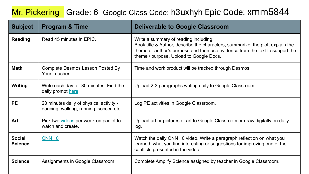#### Mr. Pickering Grade: 6 Google Class Code: h3uxhyh Epic Code: xmm5844

| <b>Subject</b>                  | <b>Program &amp; Time</b>                                                          | <b>Deliverable to Google Classroom</b>                                                                                                                                                                                                            |
|---------------------------------|------------------------------------------------------------------------------------|---------------------------------------------------------------------------------------------------------------------------------------------------------------------------------------------------------------------------------------------------|
| <b>Reading</b>                  | Read 45 minutes in EPIC.                                                           | Write a summary of reading including:<br>Book title & Author, describe the characters, summarize the plot, explain the<br>theme or author's purpose and then use evidence from the text to support the<br>theme / purpose. Upload to Google Docs. |
| <b>Math</b>                     | Complete Desmos Lesson Posted By<br>Your Teacher                                   | Time and work product will be tracked through Desmos.                                                                                                                                                                                             |
| Writing                         | Write each day for 30 minutes. Find the<br>daily prompt here.                      | Upload 2-3 paragraphs writing daily to Google Classroom.                                                                                                                                                                                          |
| <b>PE</b>                       | 20 minutes daily of physical activity -<br>dancing, walking, running, soccer, etc. | Log PE activities in Google Classroom.                                                                                                                                                                                                            |
| Art                             | Pick two videos per week on padlet to<br>watch and create.                         | Upload art or pictures of art to Google Classroom or draw digitally on daily<br>log.                                                                                                                                                              |
| <b>Social</b><br><b>Science</b> | <b>CNN 10</b>                                                                      | Watch the daily CNN 10 video. Write a paragraph reflection on what you<br>learned, what you find interesting or suggestions for improving one of the<br>conflicts presented in the video.                                                         |
| <b>Science</b>                  | Assignments in Google Classroom                                                    | Complete Amplify Science assigned by teacher in Google Classroom.                                                                                                                                                                                 |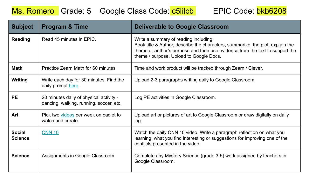#### Ms. Romero Grade: 5 Google Class Code: c5lilcb EPIC Code: bkb6208



| <b>Subject</b>                  | <b>Program &amp; Time</b>                                                          | <b>Deliverable to Google Classroom</b>                                                                                                                                                                                                            |
|---------------------------------|------------------------------------------------------------------------------------|---------------------------------------------------------------------------------------------------------------------------------------------------------------------------------------------------------------------------------------------------|
| <b>Reading</b>                  | Read 45 minutes in EPIC.                                                           | Write a summary of reading including:<br>Book title & Author, describe the characters, summarize the plot, explain the<br>theme or author's purpose and then use evidence from the text to support the<br>theme / purpose. Upload to Google Docs. |
| <b>Math</b>                     | Practice Zearn Math for 60 minutes                                                 | Time and work product will be tracked through Zearn / Clever.                                                                                                                                                                                     |
| Writing                         | Write each day for 30 minutes. Find the<br>daily prompt here.                      | Upload 2-3 paragraphs writing daily to Google Classroom.                                                                                                                                                                                          |
| <b>PE</b>                       | 20 minutes daily of physical activity -<br>dancing, walking, running, soccer, etc. | Log PE activities in Google Classroom.                                                                                                                                                                                                            |
| Art                             | Pick two videos per week on padlet to<br>watch and create.                         | Upload art or pictures of art to Google Classroom or draw digitally on daily<br>log.                                                                                                                                                              |
| <b>Social</b><br><b>Science</b> | <b>CNN 10</b>                                                                      | Watch the daily CNN 10 video. Write a paragraph reflection on what you<br>learning, what you find interesting or suggestions for improving one of the<br>conflicts presented in the video.                                                        |
| <b>Science</b>                  | Assignments in Google Classroom                                                    | Complete any Mystery Science (grade 3-5) work assigned by teachers in<br>Google Classroom.                                                                                                                                                        |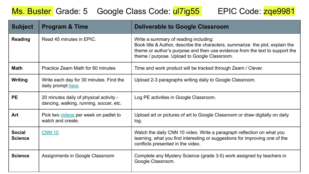#### Ms. Buster Grade: 5 Google Class Code: ul7ig55 EPIC Code: zqe9981

| <b>Subject</b>                  | <b>Program &amp; Time</b>                                                          | <b>Deliverable to Google Classroom</b>                                                                                                                                                                                                                 |
|---------------------------------|------------------------------------------------------------------------------------|--------------------------------------------------------------------------------------------------------------------------------------------------------------------------------------------------------------------------------------------------------|
| <b>Reading</b>                  | Read 45 minutes in EPIC.                                                           | Write a summary of reading including:<br>Book title & Author, describe the characters, summarize the plot, explain the<br>theme or author's purpose and then use evidence from the text to support the<br>theme / purpose. Upload to Google Classroom. |
| <b>Math</b>                     | Practice Zearn Math for 60 minutes                                                 | Time and work product will be tracked through Zearn / Clever.                                                                                                                                                                                          |
| Writing                         | Write each day for 30 minutes. Find the<br>daily prompt here.                      | Upload 2-3 paragraphs writing daily to Google Classroom.                                                                                                                                                                                               |
| <b>PE</b>                       | 20 minutes daily of physical activity -<br>dancing, walking, running, soccer, etc. | Log PE activities in Google Classroom.                                                                                                                                                                                                                 |
| Art                             | Pick two videos per week on padlet to<br>watch and create.                         | Upload art or pictures of art to Google Classroom or draw digitally on daily<br>log.                                                                                                                                                                   |
| <b>Social</b><br><b>Science</b> | <b>CNN 10</b>                                                                      | Watch the daily CNN 10 video. Write a paragraph reflection on what you<br>learning, what you find interesting or suggestions for improving one of the<br>conflicts presented in the video.                                                             |
| <b>Science</b>                  | Assignments in Google Classroom                                                    | Complete any Mystery Science (grade 3-5) work assigned by teachers in<br>Google Classroom.                                                                                                                                                             |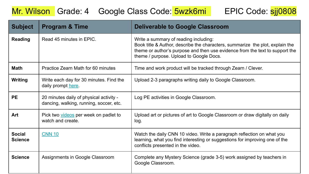#### Mr. Wilson Grade: 4 Google Class Code: 5wzk6mi EPIC Code: sjj0808

| <b>Subject</b>                  | <b>Program &amp; Time</b>                                                          | <b>Deliverable to Google Classroom</b>                                                                                                                                                                                                            |
|---------------------------------|------------------------------------------------------------------------------------|---------------------------------------------------------------------------------------------------------------------------------------------------------------------------------------------------------------------------------------------------|
| <b>Reading</b>                  | Read 45 minutes in EPIC.                                                           | Write a summary of reading including:<br>Book title & Author, describe the characters, summarize the plot, explain the<br>theme or author's purpose and then use evidence from the text to support the<br>theme / purpose. Upload to Google Docs. |
| <b>Math</b>                     | Practice Zearn Math for 60 minutes                                                 | Time and work product will be tracked through Zearn / Clever.                                                                                                                                                                                     |
| Writing                         | Write each day for 30 minutes. Find the<br>daily prompt here.                      | Upload 2-3 paragraphs writing daily to Google Classroom.                                                                                                                                                                                          |
| <b>PE</b>                       | 20 minutes daily of physical activity -<br>dancing, walking, running, soccer, etc. | Log PE activities in Google Classroom.                                                                                                                                                                                                            |
| Art                             | Pick two videos per week on padlet to<br>watch and create.                         | Upload art or pictures of art to Google Classroom or draw digitally on daily<br>log.                                                                                                                                                              |
| <b>Social</b><br><b>Science</b> | <b>CNN 10</b>                                                                      | Watch the daily CNN 10 video. Write a paragraph reflection on what you<br>learning, what you find interesting or suggestions for improving one of the<br>conflicts presented in the video.                                                        |
| <b>Science</b>                  | Assignments in Google Classroom                                                    | Complete any Mystery Science (grade 3-5) work assigned by teachers in<br>Google Classroom.                                                                                                                                                        |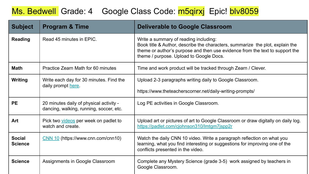#### Ms. Bedwell Grade: 4 Google Class Code: m5qirxj Epic! blv8059

| <b>Subject</b>                  | <b>Program &amp; Time</b>                                                          | <b>Deliverable to Google Classroom</b>                                                                                                                                                                                                            |
|---------------------------------|------------------------------------------------------------------------------------|---------------------------------------------------------------------------------------------------------------------------------------------------------------------------------------------------------------------------------------------------|
| <b>Reading</b>                  | Read 45 minutes in EPIC.                                                           | Write a summary of reading including:<br>Book title & Author, describe the characters, summarize the plot, explain the<br>theme or author's purpose and then use evidence from the text to support the<br>theme / purpose. Upload to Google Docs. |
| <b>Math</b>                     | Practice Zearn Math for 60 minutes                                                 | Time and work product will be tracked through Zearn / Clever.                                                                                                                                                                                     |
| Writing                         | Write each day for 30 minutes. Find the<br>daily prompt here.                      | Upload 2-3 paragraphs writing daily to Google Classroom.<br>https://www.theteacherscorner.net/daily-writing-prompts/                                                                                                                              |
| <b>PE</b>                       | 20 minutes daily of physical activity -<br>dancing, walking, running, soccer, etc. | Log PE activities in Google Classroom.                                                                                                                                                                                                            |
| Art                             | Pick two videos per week on padlet to<br>watch and create.                         | Upload art or pictures of art to Google Classroom or draw digitally on daily log.<br>https://padlet.com/cjohnson310/lmtqm7jspp2r                                                                                                                  |
| <b>Social</b><br><b>Science</b> | $\frac{\text{CNN }10}{\text{[https://www.cnn.com/cnn10]}}$                         | Watch the daily CNN 10 video. Write a paragraph reflection on what you<br>learning, what you find interesting or suggestions for improving one of the<br>conflicts presented in the video.                                                        |
| <b>Science</b>                  | Assignments in Google Classroom                                                    | Complete any Mystery Science (grade 3-5) work assigned by teachers in<br>Google Classroom.                                                                                                                                                        |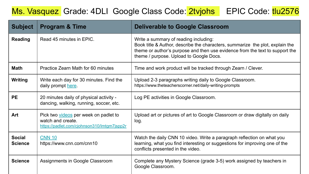#### Ms. Vasquez Grade: 4DLI Google Class Code: 2tvjohs EPIC Code: tlu2576

| <b>Subject</b>                  | <b>Program &amp; Time</b>                                                                                 | <b>Deliverable to Google Classroom</b>                                                                                                                                                                                                            |
|---------------------------------|-----------------------------------------------------------------------------------------------------------|---------------------------------------------------------------------------------------------------------------------------------------------------------------------------------------------------------------------------------------------------|
| Reading                         | Read 45 minutes in EPIC.                                                                                  | Write a summary of reading including:<br>Book title & Author, describe the characters, summarize the plot, explain the<br>theme or author's purpose and then use evidence from the text to support the<br>theme / purpose. Upload to Google Docs. |
| <b>Math</b>                     | Practice Zearn Math for 60 minutes                                                                        | Time and work product will be tracked through Zearn / Clever.                                                                                                                                                                                     |
| <b>Writing</b>                  | Write each day for 30 minutes. Find the<br>daily prompt here                                              | Upload 2-3 paragraphs writing daily to Google Classroom.<br>https://www.theteacherscorner.net/daily-writing-prompts                                                                                                                               |
| <b>PE</b>                       | 20 minutes daily of physical activity -<br>dancing, walking, running, soccer, etc.                        | Log PE activities in Google Classroom.                                                                                                                                                                                                            |
| Art                             | Pick two videos per week on padlet to<br>watch and create.<br>https://padlet.com/cjohnson310/lmtgm7jspp2r | Upload art or pictures of art to Google Classroom or draw digitally on daily<br>log.                                                                                                                                                              |
| <b>Social</b><br><b>Science</b> | <b>CNN 10</b><br>https://www.cnn.com/cnn10                                                                | Watch the daily CNN 10 video. Write a paragraph reflection on what you<br>learning, what you find interesting or suggestions for improving one of the<br>conflicts presented in the video.                                                        |
| <b>Science</b>                  | Assignments in Google Classroom                                                                           | Complete any Mystery Science (grade 3-5) work assigned by teachers in<br>Google Classroom.                                                                                                                                                        |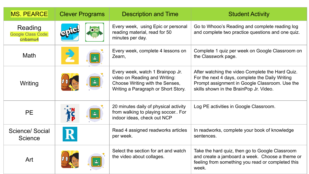| <b>MS. PEARCE</b>                               | <b>Clever Programs</b> | <b>Description and Time</b>                                                                                                                 | <b>Student Activity</b>                                                                                                                                                                          |
|-------------------------------------------------|------------------------|---------------------------------------------------------------------------------------------------------------------------------------------|--------------------------------------------------------------------------------------------------------------------------------------------------------------------------------------------------|
| Reading<br><b>Google Class Code:</b><br>cnbamu4 |                        | Every week, using Epic or personal<br>reading material, read for 50<br>minutes per day.                                                     | Go to Whooo's Reading and complete reading log<br>and complete two practice questions and one quiz.                                                                                              |
| <b>Math</b>                                     |                        | Every week, complete 4 lessons on<br>Zearn,                                                                                                 | Complete 1 quiz per week on Google Classroom on<br>the Classwork page.                                                                                                                           |
| Writing                                         |                        | Every week, watch 1 Brainpop Jr.<br>video on Reading and Writing:<br>Choose Writing with the Senses,<br>Writing a Paragraph or Short Story. | After watching the video Complete the Hard Quiz.<br>For the next 4 days, complete the Daily Writing<br>Prompt assignment in Google Classroom. Use the<br>skills shown in the BrainPop Jr. Video. |
| <b>PE</b>                                       |                        | 20 minutes daily of physical activity<br>from walking to playing soccer For<br>indoor ideas, check out NCP                                  | Log PE activities in Google Classroom.                                                                                                                                                           |
| Science/ Social<br><b>Science</b>               | R                      | Read 4 assigned readworks articles<br>per week.                                                                                             | In readworks, complete your book of knowledge<br>sentences.                                                                                                                                      |
| Art                                             |                        | Select the section for art and watch<br>the video about collages.                                                                           | Take the hard quiz, then go to Google Classroom<br>and create a jamboard a week. Choose a theme or<br>feeling from something you read or completed this<br>week.                                 |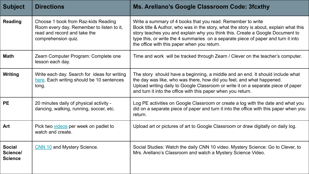| <b>Subject</b>                              | <b>Directions</b>                                                                                                                       | Ms. Arellano's Google Classroom Code: 3fcxthy                                                                                                                                                                                                                                                                                                                             |
|---------------------------------------------|-----------------------------------------------------------------------------------------------------------------------------------------|---------------------------------------------------------------------------------------------------------------------------------------------------------------------------------------------------------------------------------------------------------------------------------------------------------------------------------------------------------------------------|
| <b>Reading</b>                              | Choose 1 book from Raz-kids Reading<br>Room every day. Remember to listen to it,<br>read and record and take the<br>comprehension quiz. | Write a summary of 4 books that you read. Remember to write<br>Book title & Author, who was in the story, what the story is about, explain what this<br>story teaches you and explain why you think this. Create a Google Document to<br>type this, or write the 4 summaries on a separate piece of paper and turn it into<br>the office with this paper when you return. |
| <b>Math</b>                                 | Zearn Computer Program: Complete one<br>lesson each day.                                                                                | Time and work will be tracked through Zearn / Clever on the teacher's computer.                                                                                                                                                                                                                                                                                           |
| <b>Writing</b>                              | Write each day. Search for ideas for writing<br>here. Each writing should be 10 sentences<br>long.                                      | The story should have a beginning, a middle and an end. It should include what<br>the day was like, who was there, how did you feel, and what happened.<br>Upload writing daily to Google Classroom or write it on a separate piece of paper<br>and turn it into the office with this paper when you return.                                                              |
| <b>PE</b>                                   | 20 minutes daily of physical activity -<br>dancing, walking, running, soccer, etc.                                                      | Log PE activities on Google Classroom or create a log with the date and what you<br>did on a separate piece of paper and turn it into the office with this paper when you<br>return.                                                                                                                                                                                      |
| Art                                         | Pick two videos per week on padlet to<br>watch and create.                                                                              | Upload art or pictures of art to Google Classroom or draw digitally on daily log.                                                                                                                                                                                                                                                                                         |
| <b>Social</b><br>Science/<br><b>Science</b> | CNN 10 and Mystery Science.                                                                                                             | Social Studies: Watch the daily CNN 10 video. Mystery Science: Go to Clever, to<br>Mrs. Arellano's Classroom and watch a Mystery Science Video.                                                                                                                                                                                                                           |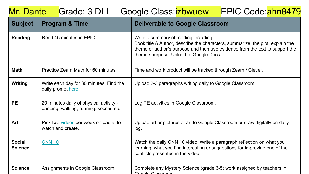| Grade: 3 DLI<br>EPIC Code:ahn8479<br>Mr. Dante<br>Google Class: <i>izbwuew</i> |                                                                                    |                                                                                                                                                                                                                                                   |
|--------------------------------------------------------------------------------|------------------------------------------------------------------------------------|---------------------------------------------------------------------------------------------------------------------------------------------------------------------------------------------------------------------------------------------------|
| <b>Subject</b>                                                                 | <b>Program &amp; Time</b>                                                          | <b>Deliverable to Google Classroom</b>                                                                                                                                                                                                            |
| <b>Reading</b>                                                                 | Read 45 minutes in EPIC.                                                           | Write a summary of reading including:<br>Book title & Author, describe the characters, summarize the plot, explain the<br>theme or author's purpose and then use evidence from the text to support the<br>theme / purpose. Upload to Google Docs. |
| <b>Math</b>                                                                    | Practice Zearn Math for 60 minutes                                                 | Time and work product will be tracked through Zearn / Clever.                                                                                                                                                                                     |
| <b>Writing</b>                                                                 | Write each day for 30 minutes. Find the<br>daily prompt here.                      | Upload 2-3 paragraphs writing daily to Google Classroom.                                                                                                                                                                                          |
| <b>PE</b>                                                                      | 20 minutes daily of physical activity -<br>dancing, walking, running, soccer, etc. | Log PE activities in Google Classroom.                                                                                                                                                                                                            |
| Art                                                                            | Pick two videos per week on padlet to<br>watch and create.                         | Upload art or pictures of art to Google Classroom or draw digitally on daily<br>log.                                                                                                                                                              |
| <b>Social</b><br><b>Science</b>                                                | <b>CNN 10</b>                                                                      | Watch the daily CNN 10 video. Write a paragraph reflection on what you<br>learning, what you find interesting or suggestions for improving one of the<br>conflicts presented in the video.                                                        |
| <b>Science</b>                                                                 | Assignments in Google Classroom                                                    | Complete any Mystery Science (grade 3-5) work assigned by teachers in<br>Coogle Classroom                                                                                                                                                         |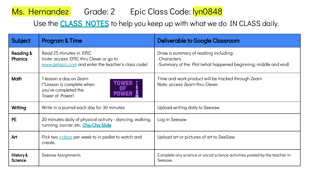### Ms. Hernandez Grade: 2 Epic Class Code: lyn0848

Use the **CLASS NOTES** to help you keep up with what we do IN CLASS daily.

| <b>Subject</b>                         | <b>Program &amp; Time</b>                                                                                                 | <b>Deliverable to Google Classroom</b>                                                                                |
|----------------------------------------|---------------------------------------------------------------------------------------------------------------------------|-----------------------------------------------------------------------------------------------------------------------|
| <b>Reading &amp;</b><br><b>Phonics</b> | Read 25 minutes in EPIC<br>(note: access EPIC thru Clever or go to<br>www.getepic.com and enter the teacher's class code) | Draw a summary of reading including:<br>-Characters<br>-Summary of the Plot (what happened beginning, middle and end) |
| Math                                   | 1 lesson a day on Zearn<br>(*Lesson is complete when<br>you've completed the<br>Tower of Power)                           | Time and work product will be tracked through Zearn<br>Note: access Zearn thru Clever.                                |
| Writing                                | Write in a journal each day for 30 minutes                                                                                | Upload writing daily to Seesaw                                                                                        |
| <b>PE</b>                              | 20 minutes daily of physical activity - dancing, walking,<br>running, soccer, etc. Cha-Cha Slide                          | Log in Seesaw                                                                                                         |
| Art                                    | Pick two videos per week to in padlet to watch and<br>create.                                                             | Upload art or pictures of art to SeeSaw                                                                               |
| History &<br>Science                   | Seesaw Assignments                                                                                                        | Complete any science or social science activities posted by the teacher in<br>Seesaw.                                 |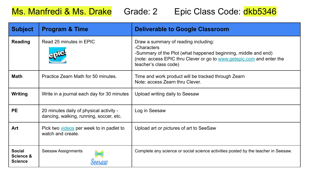Ms. Manfredi & Ms. Drake Grade: 2 Epic Class Code: dkb5346

| <b>Subject</b>                               | <b>Program &amp; Time</b>                                                          | <b>Deliverable to Google Classroom</b>                                                                                                                                                                                  |
|----------------------------------------------|------------------------------------------------------------------------------------|-------------------------------------------------------------------------------------------------------------------------------------------------------------------------------------------------------------------------|
| Reading                                      | Read 25 minutes in EPIC                                                            | Draw a summary of reading including:<br>-Characters<br>-Summary of the Plot (what happened beginning, middle and end)<br>(note: access EPIC thru Clever or go to www.getepic.com and enter the<br>teacher's class code) |
| Math                                         | Practice Zearn Math for 50 minutes.                                                | Time and work product will be tracked through Zearn<br>Note: access Zearn thru Clever.                                                                                                                                  |
| Writing                                      | Write in a journal each day for 30 minutes                                         | Upload writing daily to Seesaw                                                                                                                                                                                          |
| <b>PE</b>                                    | 20 minutes daily of physical activity -<br>dancing, walking, running, soccer, etc. | Log in Seesaw                                                                                                                                                                                                           |
| Art                                          | Pick two videos per week to in padlet to<br>watch and create.                      | Upload art or pictures of art to SeeSaw                                                                                                                                                                                 |
| <b>Social</b><br>Science &<br><b>Science</b> | Seesaw Assignments                                                                 | Complete any science or social science activities posted by the teacher in Seesaw.                                                                                                                                      |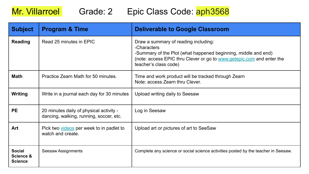### Mr. Villarroel Grade: 2 Epic Class Code: aph3568

| <b>Subject</b>                               | <b>Program &amp; Time</b>                                                          | <b>Deliverable to Google Classroom</b>                                                                                                                                                                                  |
|----------------------------------------------|------------------------------------------------------------------------------------|-------------------------------------------------------------------------------------------------------------------------------------------------------------------------------------------------------------------------|
| <b>Reading</b>                               | Read 25 minutes in EPIC                                                            | Draw a summary of reading including:<br>-Characters<br>-Summary of the Plot (what happened beginning, middle and end)<br>(note: access EPIC thru Clever or go to www.getepic.com and enter the<br>teacher's class code) |
| <b>Math</b>                                  | Practice Zearn Math for 50 minutes.                                                | Time and work product will be tracked through Zearn<br>Note: access Zearn thru Clever.                                                                                                                                  |
| Writing                                      | Write in a journal each day for 30 minutes                                         | Upload writing daily to Seesaw                                                                                                                                                                                          |
| <b>PE</b>                                    | 20 minutes daily of physical activity -<br>dancing, walking, running, soccer, etc. | Log in Seesaw                                                                                                                                                                                                           |
| Art                                          | Pick two videos per week to in padlet to<br>watch and create.                      | Upload art or pictures of art to SeeSaw                                                                                                                                                                                 |
| <b>Social</b><br>Science &<br><b>Science</b> | Seesaw Assignments                                                                 | Complete any science or social science activities posted by the teacher in Seesaw.                                                                                                                                      |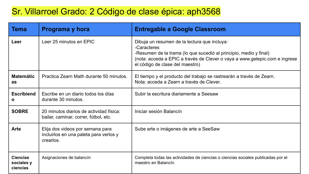#### Sr. Villarroel Grado: 2 Código de clase épica: aph3568

| Tema                                      | Programa y hora                                                                         | <b>Entregable a Google Classroom</b>                                                                                                                                                                                                              |
|-------------------------------------------|-----------------------------------------------------------------------------------------|---------------------------------------------------------------------------------------------------------------------------------------------------------------------------------------------------------------------------------------------------|
| Leer                                      | Leer 25 minutos en EPIC                                                                 | Dibuja un resumen de la lectura que incluya:<br>-Caracteres<br>-Resumen de la trama (lo que sucedió al principio, medio y final)<br>(nota: acceda a EPIC a través de Clever o vaya a www.getepic.com e ingrese<br>el código de clase del maestro) |
| <b>Matemátic</b><br>as                    | Practica Zearn Math durante 50 minutos.                                                 | El tiempo y el producto del trabajo se rastrearán a través de Zearn.<br>Nota: acceda a Zearn a través de Clever.                                                                                                                                  |
| <b>Escribiend</b><br>O                    | Escribe en un diario todos los días<br>durante 30 minutos.                              | Subir la escritura diariamente a Seesaw                                                                                                                                                                                                           |
| <b>SOBRE</b>                              | 20 minutos diarios de actividad física:<br>bailar, caminar, correr, fútbol, etc.        | Iniciar sesión Balancín                                                                                                                                                                                                                           |
| Arte                                      | Elija dos videos por semana para<br>incluirlos en una paleta para verlos y<br>crearlos. | Sube arte o imágenes de arte a SeeSaw                                                                                                                                                                                                             |
| <b>Ciencias</b><br>sociales y<br>ciencias | Asignaciones de balancín                                                                | Completa todas las actividades de ciencias o ciencias sociales publicadas por el<br>maestro en Balancín.                                                                                                                                          |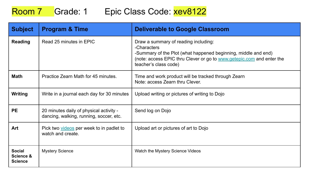### Room 7 Grade: 1 Epic Class Code: xev8122

| <b>Subject</b>                               | <b>Program &amp; Time</b>                                                          | <b>Deliverable to Google Classroom</b>                                                                                                                                                                                  |
|----------------------------------------------|------------------------------------------------------------------------------------|-------------------------------------------------------------------------------------------------------------------------------------------------------------------------------------------------------------------------|
| <b>Reading</b>                               | Read 25 minutes in EPIC                                                            | Draw a summary of reading including:<br>-Characters<br>-Summary of the Plot (what happened beginning, middle and end)<br>(note: access EPIC thru Clever or go to www.getepic.com and enter the<br>teacher's class code) |
| Math                                         | Practice Zearn Math for 45 minutes.                                                | Time and work product will be tracked through Zearn<br>Note: access Zearn thru Clever.                                                                                                                                  |
| Writing                                      | Write in a journal each day for 30 minutes                                         | Upload writing or pictures of writing to Dojo                                                                                                                                                                           |
| <b>PE</b>                                    | 20 minutes daily of physical activity -<br>dancing, walking, running, soccer, etc. | Send log on Dojo                                                                                                                                                                                                        |
| Art                                          | Pick two videos per week to in padlet to<br>watch and create.                      | Upload art or pictures of art to Dojo                                                                                                                                                                                   |
| <b>Social</b><br>Science &<br><b>Science</b> | <b>Mystery Science</b>                                                             | Watch the Mystery Science Videos                                                                                                                                                                                        |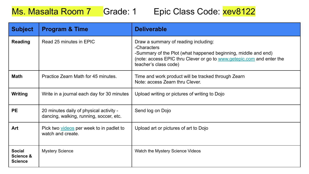### Ms. Masalta Room 7 Grade: 1 Epic Class Code: xev8122

| <b>Subject</b>                               | <b>Program &amp; Time</b>                                                          | <b>Deliverable</b>                                                                                                                                                                                                      |
|----------------------------------------------|------------------------------------------------------------------------------------|-------------------------------------------------------------------------------------------------------------------------------------------------------------------------------------------------------------------------|
| <b>Reading</b>                               | Read 25 minutes in EPIC                                                            | Draw a summary of reading including:<br>-Characters<br>-Summary of the Plot (what happened beginning, middle and end)<br>(note: access EPIC thru Clever or go to www.getepic.com and enter the<br>teacher's class code) |
| <b>Math</b>                                  | Practice Zearn Math for 45 minutes.                                                | Time and work product will be tracked through Zearn<br>Note: access Zearn thru Clever.                                                                                                                                  |
| Writing                                      | Write in a journal each day for 30 minutes                                         | Upload writing or pictures of writing to Dojo                                                                                                                                                                           |
| <b>PE</b>                                    | 20 minutes daily of physical activity -<br>dancing, walking, running, soccer, etc. | Send log on Dojo                                                                                                                                                                                                        |
| Art                                          | Pick two videos per week to in padlet to<br>watch and create.                      | Upload art or pictures of art to Dojo                                                                                                                                                                                   |
| <b>Social</b><br>Science &<br><b>Science</b> | <b>Mystery Science</b>                                                             | Watch the Mystery Science Videos                                                                                                                                                                                        |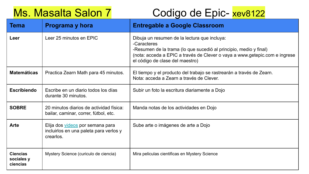# Ms. Masalta Salon 7 Codigo de Epic- xev8122

| Tema                                      | Programa y hora                                                                         | <b>Entregable a Google Classroom</b>                                                                                                                                                                                                              |
|-------------------------------------------|-----------------------------------------------------------------------------------------|---------------------------------------------------------------------------------------------------------------------------------------------------------------------------------------------------------------------------------------------------|
| Leer                                      | Leer 25 minutos en EPIC                                                                 | Dibuja un resumen de la lectura que incluya:<br>-Caracteres<br>-Resumen de la trama (lo que sucedió al principio, medio y final)<br>(nota: acceda a EPIC a través de Clever o vaya a www.getepic.com e ingrese<br>el código de clase del maestro) |
| <b>Matemáticas</b>                        | Practica Zearn Math para 45 minutos.                                                    | El tiempo y el producto del trabajo se rastrearán a través de Zearn.<br>Nota: acceda a Zearn a través de Clever.                                                                                                                                  |
| <b>Escribiendo</b>                        | Escribe en un diario todos los días<br>durante 30 minutos.                              | Subir un foto la escritura diariamente a Dojo                                                                                                                                                                                                     |
| <b>SOBRE</b>                              | 20 minutos diarios de actividad física:<br>bailar, caminar, correr, fútbol, etc.        | Manda notas de los actividades en Dojo                                                                                                                                                                                                            |
| Arte                                      | Elija dos videos por semana para<br>incluirlos en una paleta para verlos y<br>crearlos. | Sube arte o imágenes de arte a Dojo                                                                                                                                                                                                               |
| <b>Ciencias</b><br>sociales y<br>ciencias | Mystery Science (curiculo de ciencia)                                                   | Mira peliculas cientificas en Mystery Science                                                                                                                                                                                                     |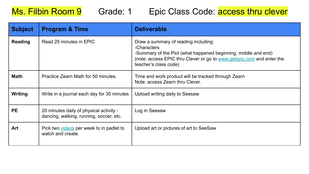#### Ms. Filbin Room 9 Grade: 1 Epic Class Code: access thru clever

| <b>Subject</b> | <b>Program &amp; Time</b>                                                          | <b>Deliverable</b>                                                                                                                                                                                                      |
|----------------|------------------------------------------------------------------------------------|-------------------------------------------------------------------------------------------------------------------------------------------------------------------------------------------------------------------------|
| <b>Reading</b> | Read 25 minutes in EPIC                                                            | Draw a summary of reading including:<br>-Characters<br>-Summary of the Plot (what happened beginning, middle and end)<br>(note: access EPIC thru Clever or go to www.getepic.com and enter the<br>teacher's class code) |
| Math           | Practice Zearn Math for 50 minutes.                                                | Time and work product will be tracked through Zearn<br>Note: access Zearn thru Clever.                                                                                                                                  |
| <b>Writing</b> | Write in a journal each day for 30 minutes                                         | Upload writing daily to Seesaw                                                                                                                                                                                          |
| <b>PE</b>      | 20 minutes daily of physical activity -<br>dancing, walking, running, soccer, etc. | Log in Seesaw                                                                                                                                                                                                           |
| Art            | Pick two videos per week to in padlet to<br>watch and create.                      | Upload art or pictures of art to SeeSaw                                                                                                                                                                                 |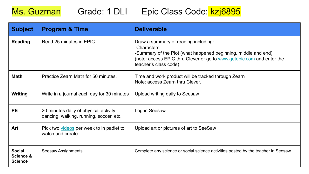## Ms. Guzman Grade: 1 DLI Epic Class Code: kzj6895

| <b>Subject</b>                               | <b>Program &amp; Time</b>                                                          | <b>Deliverable</b>                                                                                                                                                                                                      |
|----------------------------------------------|------------------------------------------------------------------------------------|-------------------------------------------------------------------------------------------------------------------------------------------------------------------------------------------------------------------------|
| <b>Reading</b>                               | Read 25 minutes in EPIC                                                            | Draw a summary of reading including:<br>-Characters<br>-Summary of the Plot (what happened beginning, middle and end)<br>(note: access EPIC thru Clever or go to www.getepic.com and enter the<br>teacher's class code) |
| Math                                         | Practice Zearn Math for 50 minutes.                                                | Time and work product will be tracked through Zearn<br>Note: access Zearn thru Clever.                                                                                                                                  |
| Writing                                      | Write in a journal each day for 30 minutes                                         | Upload writing daily to Seesaw                                                                                                                                                                                          |
| <b>PE</b>                                    | 20 minutes daily of physical activity -<br>dancing, walking, running, soccer, etc. | Log in Seesaw                                                                                                                                                                                                           |
| Art                                          | Pick two videos per week to in padlet to<br>watch and create.                      | Upload art or pictures of art to SeeSaw                                                                                                                                                                                 |
| <b>Social</b><br>Science &<br><b>Science</b> | Seesaw Assignments                                                                 | Complete any science or social science activities posted by the teacher in Seesaw.                                                                                                                                      |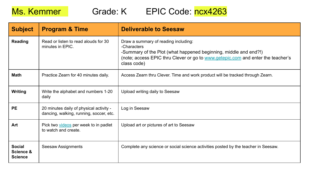Ms. Kemmer Grade: K EPIC Code: ncx4263

| <b>Subject</b>                               | <b>Program &amp; Time</b>                                                          | <b>Deliverable to Seesaw</b>                                                                                                                                                                                              |
|----------------------------------------------|------------------------------------------------------------------------------------|---------------------------------------------------------------------------------------------------------------------------------------------------------------------------------------------------------------------------|
| <b>Reading</b>                               | Read or listen to read alouds for 30<br>minutes in EPIC.                           | Draw a summary of reading including:<br>-Characters<br>-Summary of the Plot (what happened beginning, middle and end?!)<br>(note; access EPIC thru Clever or go to www.getepic.com and enter the teacher's<br>class code) |
| <b>Math</b>                                  | Practice Zearn for 40 minutes daily.                                               | Access Zearn thru Clever. Time and work product will be tracked through Zearn.                                                                                                                                            |
| <b>Writing</b>                               | Write the alphabet and numbers 1-20<br>daily                                       | Upload writing daily to Seesaw                                                                                                                                                                                            |
| <b>PE</b>                                    | 20 minutes daily of physical activity -<br>dancing, walking, running, soccer, etc. | Log in Seesaw                                                                                                                                                                                                             |
| Art                                          | Pick two videos per week to in padlet<br>to watch and create.                      | Upload art or pictures of art to Seesaw                                                                                                                                                                                   |
| <b>Social</b><br>Science &<br><b>Science</b> | Seesaw Assignments                                                                 | Complete any science or social science activities posted by the teacher in Seesaw.                                                                                                                                        |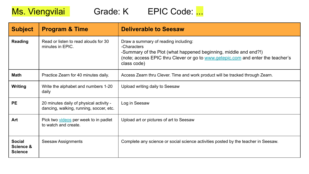



| <b>Subject</b>                               | <b>Program &amp; Time</b>                                                          | <b>Deliverable to Seesaw</b>                                                                                                                                                                                              |
|----------------------------------------------|------------------------------------------------------------------------------------|---------------------------------------------------------------------------------------------------------------------------------------------------------------------------------------------------------------------------|
| Reading                                      | Read or listen to read alouds for 30<br>minutes in EPIC.                           | Draw a summary of reading including:<br>-Characters<br>-Summary of the Plot (what happened beginning, middle and end?!)<br>(note; access EPIC thru Clever or go to www.getepic.com and enter the teacher's<br>class code) |
| <b>Math</b>                                  | Practice Zearn for 40 minutes daily.                                               | Access Zearn thru Clever. Time and work product will be tracked through Zearn.                                                                                                                                            |
| <b>Writing</b>                               | Write the alphabet and numbers 1-20<br>daily                                       | Upload writing daily to Seesaw                                                                                                                                                                                            |
| <b>PE</b>                                    | 20 minutes daily of physical activity -<br>dancing, walking, running, soccer, etc. | Log in Seesaw                                                                                                                                                                                                             |
| Art                                          | Pick two videos per week to in padlet<br>to watch and create.                      | Upload art or pictures of art to Seesaw                                                                                                                                                                                   |
| <b>Social</b><br>Science &<br><b>Science</b> | Seesaw Assignments                                                                 | Complete any science or social science activities posted by the teacher in Seesaw.                                                                                                                                        |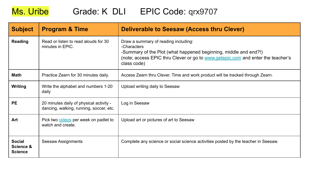### Ms. Uribe Grade: K DLI EPIC Code: qrx9707

| <b>Subject</b>                               | <b>Program &amp; Time</b>                                                          | Deliverable to Seesaw (Access thru Clever)                                                                                                                                                                                |
|----------------------------------------------|------------------------------------------------------------------------------------|---------------------------------------------------------------------------------------------------------------------------------------------------------------------------------------------------------------------------|
| Reading                                      | Read or listen to read alouds for 30<br>minutes in EPIC.                           | Draw a summary of reading including:<br>-Characters<br>-Summary of the Plot (what happened beginning, middle and end?!)<br>(note; access EPIC thru Clever or go to www.getepic.com and enter the teacher's<br>class code) |
| <b>Math</b>                                  | Practice Zearn for 30 minutes daily.                                               | Access Zearn thru Clever. Time and work product will be tracked through Zearn.                                                                                                                                            |
| <b>Writing</b>                               | Write the alphabet and numbers 1-20<br>daily                                       | Upload writing daily to Seesaw                                                                                                                                                                                            |
| <b>PE</b>                                    | 20 minutes daily of physical activity -<br>dancing, walking, running, soccer, etc. | Log in Seesaw                                                                                                                                                                                                             |
| Art                                          | Pick two videos per week on padlet to<br>watch and create.                         | Upload art or pictures of art to Seesaw                                                                                                                                                                                   |
| <b>Social</b><br>Science &<br><b>Science</b> | Seesaw Assignments                                                                 | Complete any science or social science activities posted by the teacher in Seesaw.                                                                                                                                        |